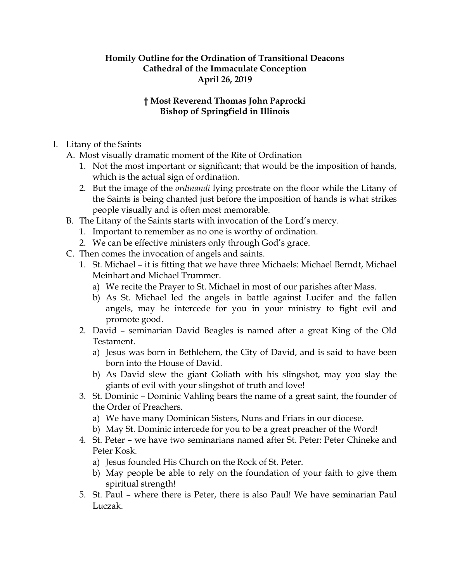## **Homily Outline for the Ordination of Transitional Deacons Cathedral of the Immaculate Conception April 26, 2019**

## **† Most Reverend Thomas John Paprocki Bishop of Springfield in Illinois**

- I. Litany of the Saints
	- A. Most visually dramatic moment of the Rite of Ordination
		- 1. Not the most important or significant; that would be the imposition of hands, which is the actual sign of ordination.
		- 2. But the image of the *ordinandi* lying prostrate on the floor while the Litany of the Saints is being chanted just before the imposition of hands is what strikes people visually and is often most memorable.
	- B. The Litany of the Saints starts with invocation of the Lord's mercy.
		- 1. Important to remember as no one is worthy of ordination.
		- 2. We can be effective ministers only through God's grace.
	- C. Then comes the invocation of angels and saints.
		- 1. St. Michael it is fitting that we have three Michaels: Michael Berndt, Michael Meinhart and Michael Trummer.
			- a) We recite the Prayer to St. Michael in most of our parishes after Mass.
			- b) As St. Michael led the angels in battle against Lucifer and the fallen angels, may he intercede for you in your ministry to fight evil and promote good.
		- 2. David seminarian David Beagles is named after a great King of the Old Testament.
			- a) Jesus was born in Bethlehem, the City of David, and is said to have been born into the House of David.
			- b) As David slew the giant Goliath with his slingshot, may you slay the giants of evil with your slingshot of truth and love!
		- 3. St. Dominic Dominic Vahling bears the name of a great saint, the founder of the Order of Preachers.
			- a) We have many Dominican Sisters, Nuns and Friars in our diocese.
			- b) May St. Dominic intercede for you to be a great preacher of the Word!
		- 4. St. Peter we have two seminarians named after St. Peter: Peter Chineke and Peter Kosk.
			- a) Jesus founded His Church on the Rock of St. Peter.
			- b) May people be able to rely on the foundation of your faith to give them spiritual strength!
		- 5. St. Paul where there is Peter, there is also Paul! We have seminarian Paul Luczak.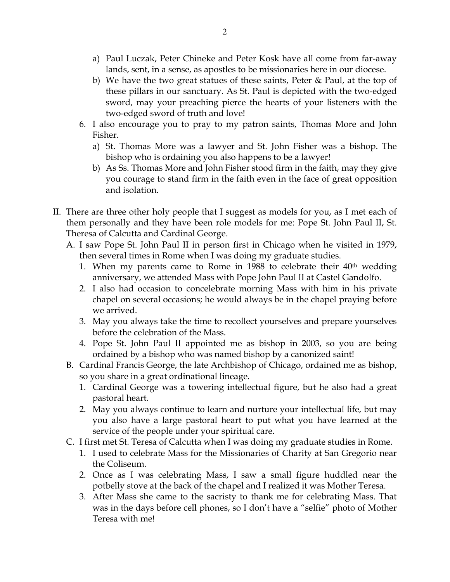- a) Paul Luczak, Peter Chineke and Peter Kosk have all come from far-away lands, sent, in a sense, as apostles to be missionaries here in our diocese.
- b) We have the two great statues of these saints, Peter & Paul, at the top of these pillars in our sanctuary. As St. Paul is depicted with the two-edged sword, may your preaching pierce the hearts of your listeners with the two-edged sword of truth and love!
- 6. I also encourage you to pray to my patron saints, Thomas More and John Fisher.
	- a) St. Thomas More was a lawyer and St. John Fisher was a bishop. The bishop who is ordaining you also happens to be a lawyer!
	- b) As Ss. Thomas More and John Fisher stood firm in the faith, may they give you courage to stand firm in the faith even in the face of great opposition and isolation.
- II. There are three other holy people that I suggest as models for you, as I met each of them personally and they have been role models for me: Pope St. John Paul II, St. Theresa of Calcutta and Cardinal George.
	- A. I saw Pope St. John Paul II in person first in Chicago when he visited in 1979, then several times in Rome when I was doing my graduate studies.
		- 1. When my parents came to Rome in 1988 to celebrate their  $40<sup>th</sup>$  wedding anniversary, we attended Mass with Pope John Paul II at Castel Gandolfo.
		- 2. I also had occasion to concelebrate morning Mass with him in his private chapel on several occasions; he would always be in the chapel praying before we arrived.
		- 3. May you always take the time to recollect yourselves and prepare yourselves before the celebration of the Mass.
		- 4. Pope St. John Paul II appointed me as bishop in 2003, so you are being ordained by a bishop who was named bishop by a canonized saint!
	- B. Cardinal Francis George, the late Archbishop of Chicago, ordained me as bishop, so you share in a great ordinational lineage.
		- 1. Cardinal George was a towering intellectual figure, but he also had a great pastoral heart.
		- 2. May you always continue to learn and nurture your intellectual life, but may you also have a large pastoral heart to put what you have learned at the service of the people under your spiritual care.
	- C. I first met St. Teresa of Calcutta when I was doing my graduate studies in Rome.
		- 1. I used to celebrate Mass for the Missionaries of Charity at San Gregorio near the Coliseum.
		- 2. Once as I was celebrating Mass, I saw a small figure huddled near the potbelly stove at the back of the chapel and I realized it was Mother Teresa.
		- 3. After Mass she came to the sacristy to thank me for celebrating Mass. That was in the days before cell phones, so I don't have a "selfie" photo of Mother Teresa with me!